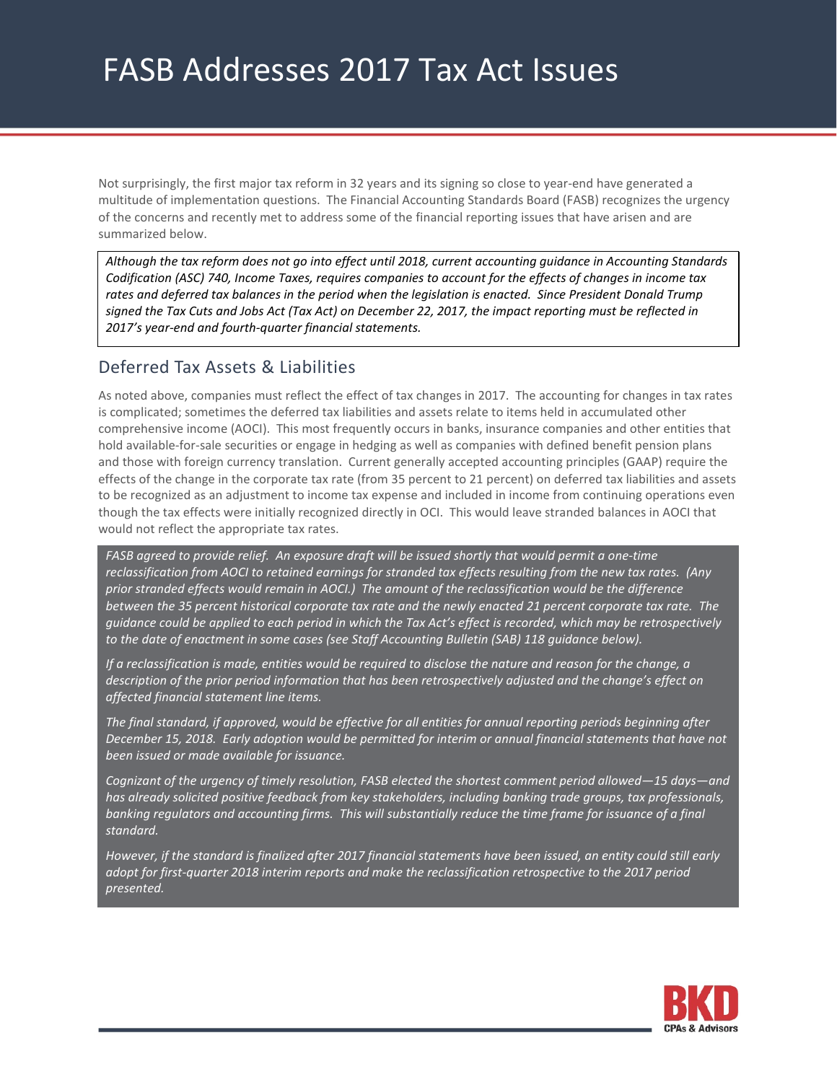Not surprisingly, the first major tax reform in 32 years and its signing so close to year-end have generated a multitude of implementation questions. The Financial Accounting Standards Board (FASB) recognizes the urgency of the concerns and recently met to address some of the financial reporting issues that have arisen and are summarized below.

*Although the tax reform does not go into effect until 2018, current accounting guidance in Accounting Standards Codification (ASC) 740, Income Taxes, requires companies to account for the effects of changes in income tax rates and deferred tax balances in the period when the legislation is enacted. Since President Donald Trump signed the Tax Cuts and Jobs Act (Tax Act) on December 22, 2017, the impact reporting must be reflected in 2017's year-end and fourth-quarter financial statements.* 

# Deferred Tax Assets & Liabilities

As noted above, companies must reflect the effect of tax changes in 2017. The accounting for changes in tax rates is complicated; sometimes the deferred tax liabilities and assets relate to items held in accumulated other comprehensive income (AOCI). This most frequently occurs in banks, insurance companies and other entities that hold available-for-sale securities or engage in hedging as well as companies with defined benefit pension plans and those with foreign currency translation. Current generally accepted accounting principles (GAAP) require the effects of the change in the corporate tax rate (from 35 percent to 21 percent) on deferred tax liabilities and assets to be recognized as an adjustment to income tax expense and included in income from continuing operations even though the tax effects were initially recognized directly in OCI. This would leave stranded balances in AOCI that would not reflect the appropriate tax rates.

FASB agreed to provide relief. An exposure draft will be issued shortly that would permit a one-time *reclassification from AOCI to retained earnings for stranded tax effects resulting from the new tax rates. (Any prior stranded effects would remain in AOCI.) The amount of the reclassification would be the difference between the 35 percent historical corporate tax rate and the newly enacted 21 percent corporate tax rate. The guidance could be applied to each period in which the Tax Act's effect is recorded, which may be retrospectively to the date of enactment in some cases (see Staff Accounting Bulletin (SAB) 118 guidance below).*

*If a reclassification is made, entities would be required to disclose the nature and reason for the change, a description of the prior period information that has been retrospectively adjusted and the change's effect on affected financial statement line items.* 

*The final standard, if approved, would be effective for all entities for annual reporting periods beginning after December 15, 2018. Early adoption would be permitted for interim or annual financial statements that have not been issued or made available for issuance.* 

*Cognizant of the urgency of timely resolution, FASB elected the shortest comment period allowed—15 days—and has already solicited positive feedback from key stakeholders, including banking trade groups, tax professionals, banking regulators and accounting firms. This will substantially reduce the time frame for issuance of a final standard.* 

*However, if the standard is finalized after 2017 financial statements have been issued, an entity could still early adopt for first-quarter 2018 interim reports and make the reclassification retrospective to the 2017 period presented.* 

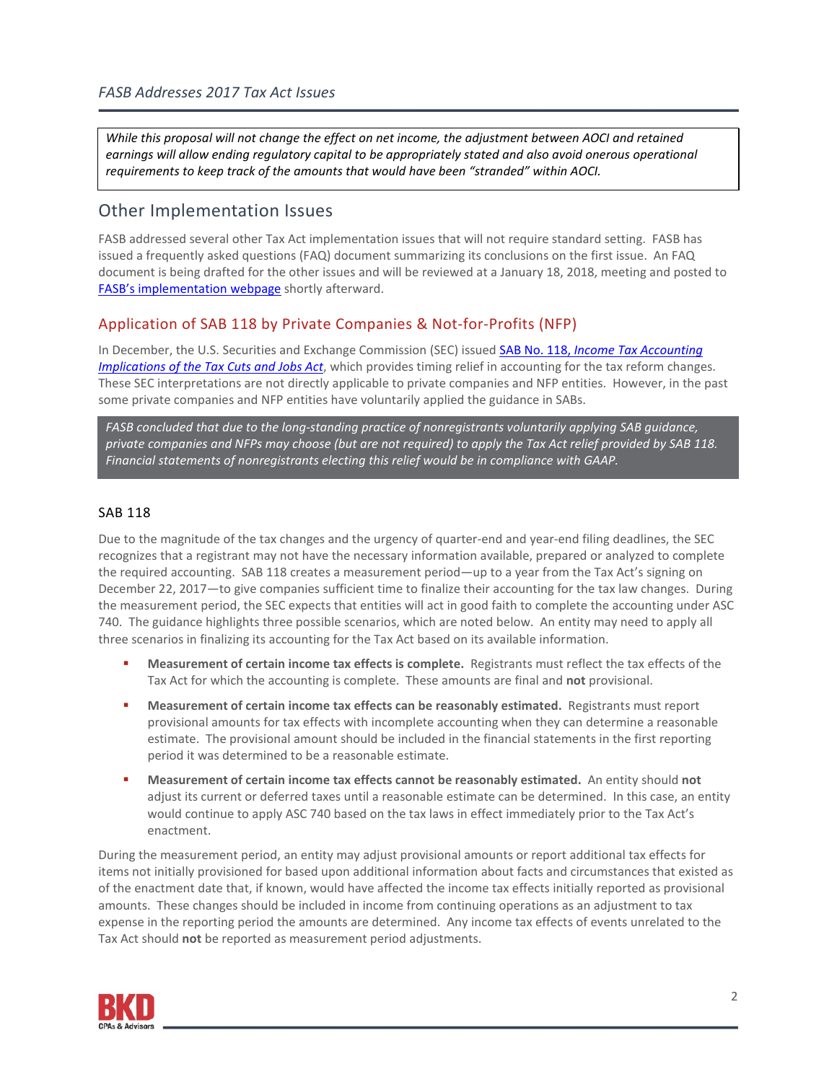*While this proposal will not change the effect on net income, the adjustment between AOCI and retained*  earnings will allow ending regulatory capital to be appropriately stated and also avoid onerous operational *requirements to keep track of the amounts that would have been "stranded" within AOCI.*

### Other Implementation Issues

FASB addressed several other Tax Act implementation issues that will not require standard setting. FASB has issued a frequently asked questions (FAQ) document summarizing its conclusions on the first issue. An FAQ document is being drafted for the other issues and will be reviewed at a January 18, 2018, meeting and posted to [FASB's implementation webpage](https://www.fasb.org/implementation) shortly afterward.

### Application of SAB 118 by Private Companies & Not-for-Profits (NFP)

In December, the U.S. Securities and Exchange Commission (SEC) issued SAB No. 118, *[Income Tax Accounting](https://www.sec.gov/interps/account/staff-accounting-bulletin-118.htm)  [Implications of the Tax Cuts and Jobs Act](https://www.sec.gov/interps/account/staff-accounting-bulletin-118.htm)*, which provides timing relief in accounting for the tax reform changes. These SEC interpretations are not directly applicable to private companies and NFP entities. However, in the past some private companies and NFP entities have voluntarily applied the guidance in SABs.

*FASB concluded that due to the long-standing practice of nonregistrants voluntarily applying SAB guidance, private companies and NFPs may choose (but are not required) to apply the Tax Act relief provided by SAB 118. Financial statements of nonregistrants electing this relief would be in compliance with GAAP.* 

#### SAB 118

Due to the magnitude of the tax changes and the urgency of quarter-end and year-end filing deadlines, the SEC recognizes that a registrant may not have the necessary information available, prepared or analyzed to complete the required accounting. SAB 118 creates a measurement period—up to a year from the Tax Act's signing on December 22, 2017—to give companies sufficient time to finalize their accounting for the tax law changes. During the measurement period, the SEC expects that entities will act in good faith to complete the accounting under ASC 740. The guidance highlights three possible scenarios, which are noted below. An entity may need to apply all three scenarios in finalizing its accounting for the Tax Act based on its available information.

- **Measurement of certain income tax effects is complete.** Registrants must reflect the tax effects of the Tax Act for which the accounting is complete. These amounts are final and **not** provisional.
- **Measurement of certain income tax effects can be reasonably estimated.** Registrants must report provisional amounts for tax effects with incomplete accounting when they can determine a reasonable estimate. The provisional amount should be included in the financial statements in the first reporting period it was determined to be a reasonable estimate.
- **Measurement of certain income tax effects cannot be reasonably estimated.** An entity should **not** adjust its current or deferred taxes until a reasonable estimate can be determined. In this case, an entity would continue to apply ASC 740 based on the tax laws in effect immediately prior to the Tax Act's enactment.

During the measurement period, an entity may adjust provisional amounts or report additional tax effects for items not initially provisioned for based upon additional information about facts and circumstances that existed as of the enactment date that, if known, would have affected the income tax effects initially reported as provisional amounts. These changes should be included in income from continuing operations as an adjustment to tax expense in the reporting period the amounts are determined. Any income tax effects of events unrelated to the Tax Act should **not** be reported as measurement period adjustments.

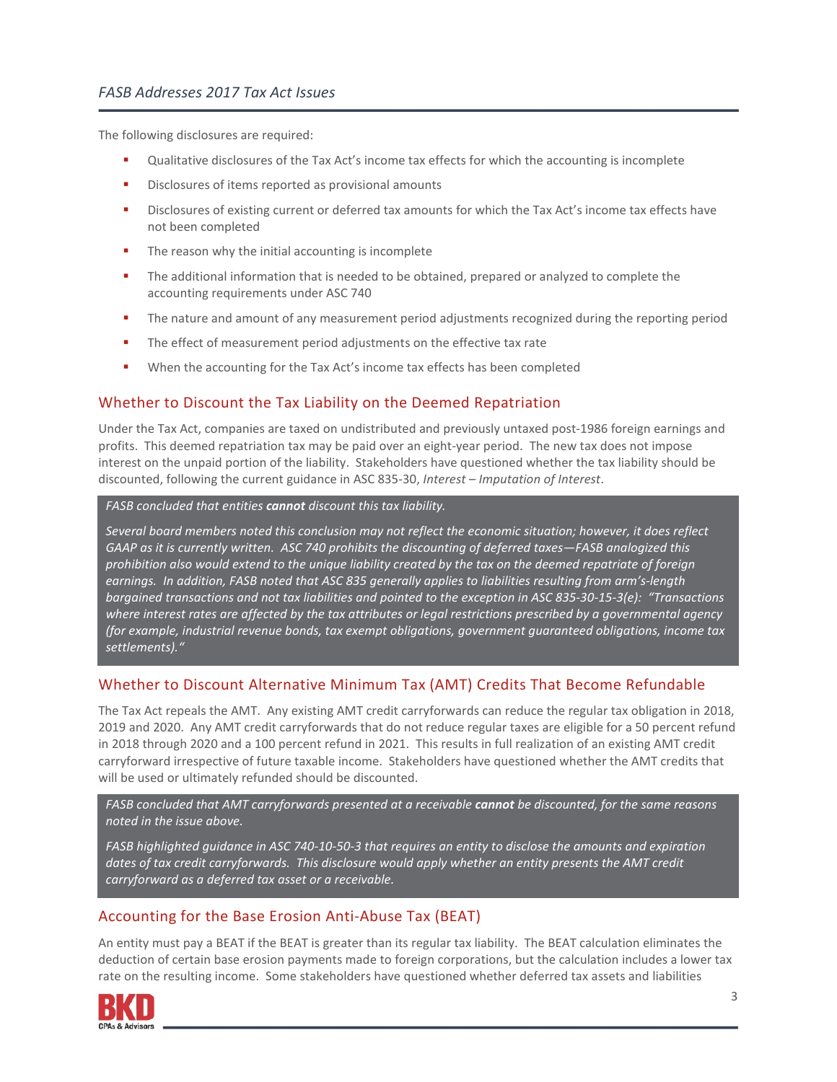#### *FASB Addresses 2017 Tax Act Issues*

The following disclosures are required:

- Qualitative disclosures of the Tax Act's income tax effects for which the accounting is incomplete
- Disclosures of items reported as provisional amounts
- Disclosures of existing current or deferred tax amounts for which the Tax Act's income tax effects have not been completed
- **The reason why the initial accounting is incomplete**
- **The additional information that is needed to be obtained, prepared or analyzed to complete the** accounting requirements under ASC 740
- **The nature and amount of any measurement period adjustments recognized during the reporting period**
- The effect of measurement period adjustments on the effective tax rate
- **•** When the accounting for the Tax Act's income tax effects has been completed

### Whether to Discount the Tax Liability on the Deemed Repatriation

Under the Tax Act, companies are taxed on undistributed and previously untaxed post-1986 foreign earnings and profits. This deemed repatriation tax may be paid over an eight-year period. The new tax does not impose interest on the unpaid portion of the liability. Stakeholders have questioned whether the tax liability should be discounted, following the current guidance in ASC 835-30, *Interest – Imputation of Interest*.

*FASB concluded that entities cannot discount this tax liability.* 

*Several board members noted this conclusion may not reflect the economic situation; however, it does reflect GAAP as it is currently written. ASC 740 prohibits the discounting of deferred taxes—FASB analogized this prohibition also would extend to the unique liability created by the tax on the deemed repatriate of foreign earnings. In addition, FASB noted that ASC 835 generally applies to liabilities resulting from arm's-length bargained transactions and not tax liabilities and pointed to the exception in ASC 835-30-15-3(e): "Transactions where interest rates are affected by the tax attributes or legal restrictions prescribed by a governmental agency (for example, industrial revenue bonds, tax exempt obligations, government guaranteed obligations, income tax settlements)."*

### Whether to Discount Alternative Minimum Tax (AMT) Credits That Become Refundable

The Tax Act repeals the AMT. Any existing AMT credit carryforwards can reduce the regular tax obligation in 2018, 2019 and 2020. Any AMT credit carryforwards that do not reduce regular taxes are eligible for a 50 percent refund in 2018 through 2020 and a 100 percent refund in 2021. This results in full realization of an existing AMT credit carryforward irrespective of future taxable income. Stakeholders have questioned whether the AMT credits that will be used or ultimately refunded should be discounted.

*FASB concluded that AMT carryforwards presented at a receivable cannot be discounted, for the same reasons noted in the issue above.* 

*FASB highlighted guidance in ASC 740-10-50-3 that requires an entity to disclose the amounts and expiration dates of tax credit carryforwards. This disclosure would apply whether an entity presents the AMT credit carryforward as a deferred tax asset or a receivable.*

## Accounting for the Base Erosion Anti-Abuse Tax (BEAT)

An entity must pay a BEAT if the BEAT is greater than its regular tax liability. The BEAT calculation eliminates the deduction of certain base erosion payments made to foreign corporations, but the calculation includes a lower tax rate on the resulting income. Some stakeholders have questioned whether deferred tax assets and liabilities